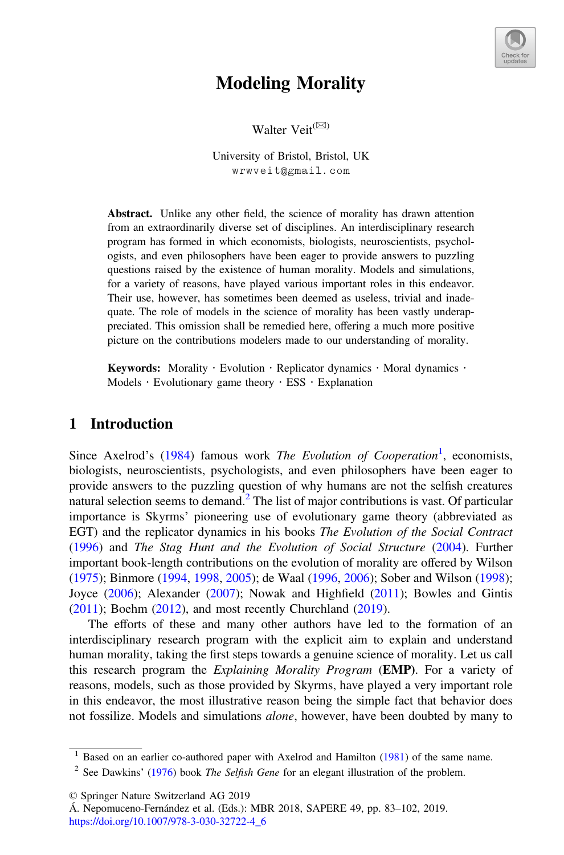

# Modeling Morality

Walter Veit $^{(\boxtimes)}$ 

University of Bristol, Bristol, UK ware was a series of the series of the series of the series of the series of the series of the series of the s

Abstract. Unlike any other field, the science of morality has drawn attention from an extraordinarily diverse set of disciplines. An interdisciplinary research program has formed in which economists, biologists, neuroscientists, psychologists, and even philosophers have been eager to provide answers to puzzling questions raised by the existence of human morality. Models and simulations, for a variety of reasons, have played various important roles in this endeavor. Their use, however, has sometimes been deemed as useless, trivial and inadequate. The role of models in the science of morality has been vastly underappreciated. This omission shall be remedied here, offering a much more positive picture on the contributions modelers made to our understanding of morality.

Keywords: Morality  $\cdot$  Evolution  $\cdot$  Replicator dynamics  $\cdot$  Moral dynamics  $\cdot$  Models  $\cdot$  Evolutionary game theory  $\cdot$  ESS  $\cdot$  Explanation

## 1 Introduction

Since Axelrod's [\(1984](#page-16-0)) famous work *The Evolution of Cooperation*<sup>1</sup>, economists, biologists, neuroscientists, psychologists, and even philosophers have been eager to provide answers to the puzzling question of why humans are not the selfish creatures natural selection seems to demand.<sup>2</sup> The list of major contributions is vast. Of particular importance is Skyrms' pioneering use of evolutionary game theory (abbreviated as EGT) and the replicator dynamics in his books The Evolution of the Social Contract [\(1996](#page-18-0)) and The Stag Hunt and the Evolution of Social Structure ([2004\)](#page-18-0). Further important book-length contributions on the evolution of morality are offered by Wilson [\(1975](#page-19-0)); Binmore [\(1994,](#page-16-0) [1998](#page-16-0), [2005](#page-16-0)); de Waal [\(1996](#page-17-0), [2006](#page-17-0)); Sober and Wilson ([1998\)](#page-18-0); Joyce [\(2006](#page-18-0)); Alexander ([2007\)](#page-16-0); Nowak and Highfield ([2011\)](#page-18-0); Bowles and Gintis  $(2011)$  $(2011)$ ; Boehm  $(2012)$  $(2012)$ , and most recently Churchland  $(2019)$  $(2019)$ .

The efforts of these and many other authors have led to the formation of an interdisciplinary research program with the explicit aim to explain and understand human morality, taking the first steps towards a genuine science of morality. Let us call this research program the Explaining Morality Program (EMP). For a variety of reasons, models, such as those provided by Skyrms, have played a very important role in this endeavor, the most illustrative reason being the simple fact that behavior does not fossilize. Models and simulations alone, however, have been doubted by many to

 $1$  Based on an earlier co-authored paper with Axelrod and Hamilton ([1981\)](#page-16-0) of the same name.

<sup>&</sup>lt;sup>2</sup> See Dawkins' ([1976\)](#page-17-0) book *The Selfish Gene* for an elegant illustration of the problem.

<sup>©</sup> Springer Nature Switzerland AG 2019

Á. Nepomuceno-Fernández et al. (Eds.): MBR 2018, SAPERE 49, pp. 83–102, 2019. [https://doi.org/10.1007/978-3-030-32722-4\\_6](https://doi.org/10.1007/978-3-030-32722-4_6)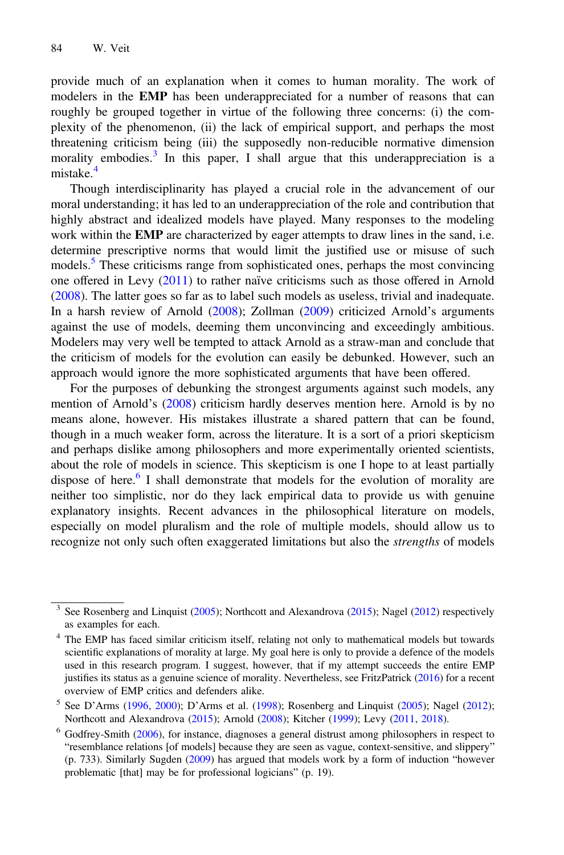provide much of an explanation when it comes to human morality. The work of modelers in the EMP has been underappreciated for a number of reasons that can roughly be grouped together in virtue of the following three concerns: (i) the complexity of the phenomenon, (ii) the lack of empirical support, and perhaps the most threatening criticism being (iii) the supposedly non-reducible normative dimension morality embodies. $3$  In this paper, I shall argue that this underappreciation is a mistake.<sup>4</sup>

Though interdisciplinarity has played a crucial role in the advancement of our moral understanding; it has led to an underappreciation of the role and contribution that highly abstract and idealized models have played. Many responses to the modeling work within the **EMP** are characterized by eager attempts to draw lines in the sand, i.e. determine prescriptive norms that would limit the justified use or misuse of such models.<sup>5</sup> These criticisms range from sophisticated ones, perhaps the most convincing one offered in Levy ([2011\)](#page-18-0) to rather naïve criticisms such as those offered in Arnold ([2008\)](#page-16-0). The latter goes so far as to label such models as useless, trivial and inadequate. In a harsh review of Arnold ([2008\)](#page-16-0); Zollman ([2009\)](#page-19-0) criticized Arnold's arguments against the use of models, deeming them unconvincing and exceedingly ambitious. Modelers may very well be tempted to attack Arnold as a straw-man and conclude that the criticism of models for the evolution can easily be debunked. However, such an approach would ignore the more sophisticated arguments that have been offered.

For the purposes of debunking the strongest arguments against such models, any mention of Arnold's ([2008\)](#page-16-0) criticism hardly deserves mention here. Arnold is by no means alone, however. His mistakes illustrate a shared pattern that can be found, though in a much weaker form, across the literature. It is a sort of a priori skepticism and perhaps dislike among philosophers and more experimentally oriented scientists, about the role of models in science. This skepticism is one I hope to at least partially dispose of here.<sup>6</sup> I shall demonstrate that models for the evolution of morality are neither too simplistic, nor do they lack empirical data to provide us with genuine explanatory insights. Recent advances in the philosophical literature on models, especially on model pluralism and the role of multiple models, should allow us to recognize not only such often exaggerated limitations but also the *strengths* of models

 $3$  See Rosenberg and Linquist [\(2005](#page-18-0)); Northcott and Alexandrova [\(2015](#page-18-0)); Nagel ([2012\)](#page-18-0) respectively as examples for each.

<sup>&</sup>lt;sup>4</sup> The EMP has faced similar criticism itself, relating not only to mathematical models but towards scientific explanations of morality at large. My goal here is only to provide a defence of the models used in this research program. I suggest, however, that if my attempt succeeds the entire EMP justifies its status as a genuine science of morality. Nevertheless, see FritzPatrick ([2016\)](#page-17-0) for a recent overview of EMP critics and defenders alike.

<sup>&</sup>lt;sup>5</sup> See D'Arms ([1996,](#page-17-0) [2000\)](#page-17-0); D'Arms et al. ([1998\)](#page-17-0); Rosenberg and Linquist ([2005\)](#page-18-0); Nagel ([2012](#page-18-0)); Northcott and Alexandrova [\(2015](#page-18-0)); Arnold ([2008](#page-16-0)); Kitcher ([1999\)](#page-18-0); Levy ([2011,](#page-18-0) [2018](#page-18-0)).

 $6$  Godfrey-Smith ([2006\)](#page-17-0), for instance, diagnoses a general distrust among philosophers in respect to "resemblance relations [of models] because they are seen as vague, context-sensitive, and slippery" (p. 733). Similarly Sugden [\(2009](#page-18-0)) has argued that models work by a form of induction "however problematic [that] may be for professional logicians" (p. 19).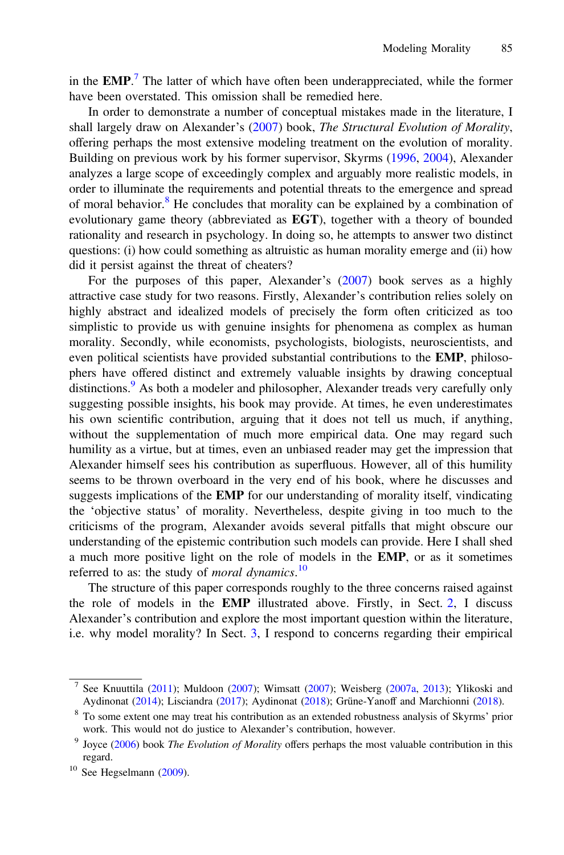in the  $EMP$ .<sup>7</sup> The latter of which have often been underappreciated, while the former have been overstated. This omission shall be remedied here.

In order to demonstrate a number of conceptual mistakes made in the literature, I shall largely draw on Alexander's ([2007\)](#page-16-0) book, The Structural Evolution of Morality, offering perhaps the most extensive modeling treatment on the evolution of morality. Building on previous work by his former supervisor, Skyrms ([1996,](#page-18-0) [2004\)](#page-18-0), Alexander analyzes a large scope of exceedingly complex and arguably more realistic models, in order to illuminate the requirements and potential threats to the emergence and spread of moral behavior.<sup>8</sup> He concludes that morality can be explained by a combination of evolutionary game theory (abbreviated as EGT), together with a theory of bounded rationality and research in psychology. In doing so, he attempts to answer two distinct questions: (i) how could something as altruistic as human morality emerge and (ii) how did it persist against the threat of cheaters?

For the purposes of this paper, Alexander's ([2007\)](#page-16-0) book serves as a highly attractive case study for two reasons. Firstly, Alexander's contribution relies solely on highly abstract and idealized models of precisely the form often criticized as too simplistic to provide us with genuine insights for phenomena as complex as human morality. Secondly, while economists, psychologists, biologists, neuroscientists, and even political scientists have provided substantial contributions to the EMP, philosophers have offered distinct and extremely valuable insights by drawing conceptual distinctions.<sup>9</sup> As both a modeler and philosopher, Alexander treads very carefully only suggesting possible insights, his book may provide. At times, he even underestimates his own scientific contribution, arguing that it does not tell us much, if anything, without the supplementation of much more empirical data. One may regard such humility as a virtue, but at times, even an unbiased reader may get the impression that Alexander himself sees his contribution as superfluous. However, all of this humility seems to be thrown overboard in the very end of his book, where he discusses and suggests implications of the EMP for our understanding of morality itself, vindicating the 'objective status' of morality. Nevertheless, despite giving in too much to the criticisms of the program, Alexander avoids several pitfalls that might obscure our understanding of the epistemic contribution such models can provide. Here I shall shed a much more positive light on the role of models in the EMP, or as it sometimes referred to as: the study of *moral dynamics*.<sup>10</sup>

The structure of this paper corresponds roughly to the three concerns raised against the role of models in the EMP illustrated above. Firstly, in Sect. [2,](#page-3-0) I discuss Alexander's contribution and explore the most important question within the literature, i.e. why model morality? In Sect. [3](#page-12-0), I respond to concerns regarding their empirical

<sup>7</sup> See Knuuttila ([2011\)](#page-18-0); Muldoon [\(2007](#page-18-0)); Wimsatt [\(2007](#page-19-0)); Weisberg ([2007a](#page-19-0), [2013\)](#page-19-0); Ylikoski and Aydinonat ([2014\)](#page-19-0); Lisciandra [\(2017](#page-18-0)); Aydinonat [\(2018](#page-16-0)); Grüne-Yanoff and Marchionni ([2018\)](#page-17-0).

<sup>8</sup> To some extent one may treat his contribution as an extended robustness analysis of Skyrms' prior work. This would not do justice to Alexander's contribution, however.

 $9$  Joyce [\(2006](#page-18-0)) book *The Evolution of Morality* offers perhaps the most valuable contribution in this regard.

 $10$  See Hegselmann [\(2009\)](#page-17-0).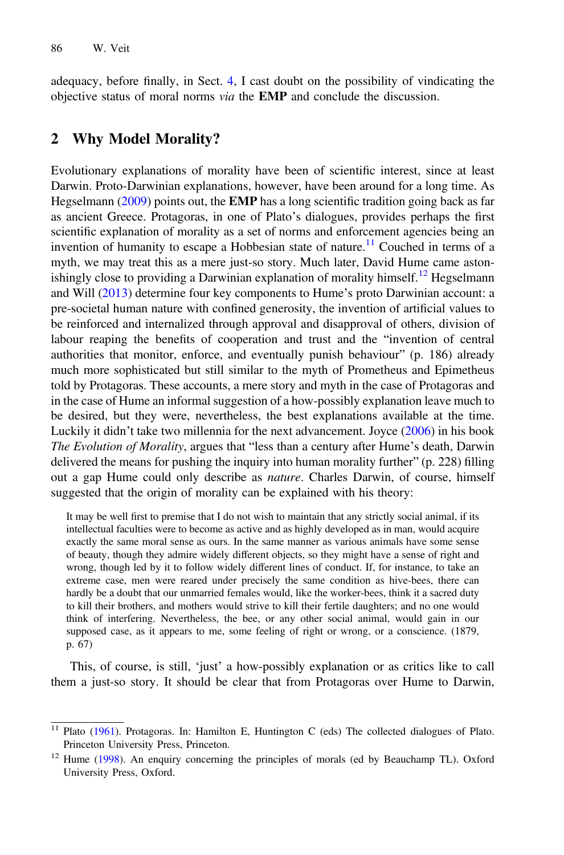<span id="page-3-0"></span>adequacy, before finally, in Sect. [4](#page-14-0), I cast doubt on the possibility of vindicating the objective status of moral norms via the EMP and conclude the discussion.

#### 2 Why Model Morality?

Evolutionary explanations of morality have been of scientific interest, since at least Darwin. Proto-Darwinian explanations, however, have been around for a long time. As Hegselmann  $(2009)$  $(2009)$  points out, the **EMP** has a long scientific tradition going back as far as ancient Greece. Protagoras, in one of Plato's dialogues, provides perhaps the first scientific explanation of morality as a set of norms and enforcement agencies being an invention of humanity to escape a Hobbesian state of nature.<sup>11</sup> Couched in terms of a myth, we may treat this as a mere just-so story. Much later, David Hume came astonishingly close to providing a Darwinian explanation of morality himself.<sup>12</sup> Hegselmann and Will ([2013\)](#page-17-0) determine four key components to Hume's proto Darwinian account: a pre-societal human nature with confined generosity, the invention of artificial values to be reinforced and internalized through approval and disapproval of others, division of labour reaping the benefits of cooperation and trust and the "invention of central authorities that monitor, enforce, and eventually punish behaviour" (p. 186) already much more sophisticated but still similar to the myth of Prometheus and Epimetheus told by Protagoras. These accounts, a mere story and myth in the case of Protagoras and in the case of Hume an informal suggestion of a how-possibly explanation leave much to be desired, but they were, nevertheless, the best explanations available at the time. Luckily it didn't take two millennia for the next advancement. Joyce ([2006\)](#page-18-0) in his book The Evolution of Morality, argues that "less than a century after Hume's death, Darwin delivered the means for pushing the inquiry into human morality further" (p. 228) filling out a gap Hume could only describe as nature. Charles Darwin, of course, himself suggested that the origin of morality can be explained with his theory:

It may be well first to premise that I do not wish to maintain that any strictly social animal, if its intellectual faculties were to become as active and as highly developed as in man, would acquire exactly the same moral sense as ours. In the same manner as various animals have some sense of beauty, though they admire widely different objects, so they might have a sense of right and wrong, though led by it to follow widely different lines of conduct. If, for instance, to take an extreme case, men were reared under precisely the same condition as hive-bees, there can hardly be a doubt that our unmarried females would, like the worker-bees, think it a sacred duty to kill their brothers, and mothers would strive to kill their fertile daughters; and no one would think of interfering. Nevertheless, the bee, or any other social animal, would gain in our supposed case, as it appears to me, some feeling of right or wrong, or a conscience. (1879, p. 67)

This, of course, is still, 'just' a how-possibly explanation or as critics like to call them a just-so story. It should be clear that from Protagoras over Hume to Darwin,

 $\frac{11 \text{ Plato}}{(1961)}$  $\frac{11 \text{ Plato}}{(1961)}$  $\frac{11 \text{ Plato}}{(1961)}$ . Protagoras. In: Hamilton E, Huntington C (eds) The collected dialogues of Plato. Princeton University Press, Princeton.

 $12$  Hume [\(1998](#page-18-0)). An enquiry concerning the principles of morals (ed by Beauchamp TL). Oxford University Press, Oxford.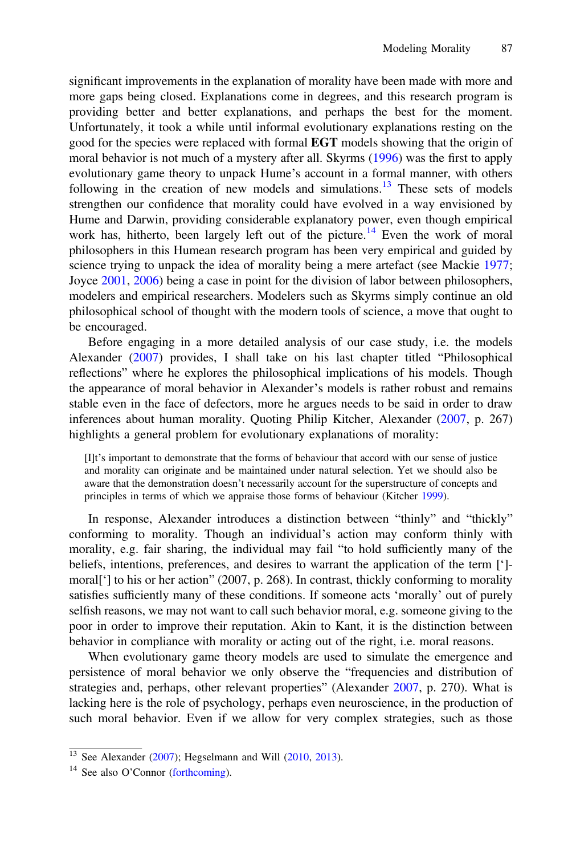significant improvements in the explanation of morality have been made with more and more gaps being closed. Explanations come in degrees, and this research program is providing better and better explanations, and perhaps the best for the moment. Unfortunately, it took a while until informal evolutionary explanations resting on the good for the species were replaced with formal EGT models showing that the origin of moral behavior is not much of a mystery after all. Skyrms [\(1996](#page-18-0)) was the first to apply evolutionary game theory to unpack Hume's account in a formal manner, with others following in the creation of new models and simulations.<sup>13</sup> These sets of models strengthen our confidence that morality could have evolved in a way envisioned by Hume and Darwin, providing considerable explanatory power, even though empirical work has, hitherto, been largely left out of the picture.<sup>14</sup> Even the work of moral philosophers in this Humean research program has been very empirical and guided by science trying to unpack the idea of morality being a mere artefact (see Mackie [1977;](#page-18-0) Joyce [2001,](#page-18-0) [2006\)](#page-18-0) being a case in point for the division of labor between philosophers, modelers and empirical researchers. Modelers such as Skyrms simply continue an old philosophical school of thought with the modern tools of science, a move that ought to be encouraged.

Before engaging in a more detailed analysis of our case study, i.e. the models Alexander ([2007\)](#page-16-0) provides, I shall take on his last chapter titled "Philosophical reflections" where he explores the philosophical implications of his models. Though the appearance of moral behavior in Alexander's models is rather robust and remains stable even in the face of defectors, more he argues needs to be said in order to draw inferences about human morality. Quoting Philip Kitcher, Alexander ([2007,](#page-16-0) p. 267) highlights a general problem for evolutionary explanations of morality:

[I]t's important to demonstrate that the forms of behaviour that accord with our sense of justice and morality can originate and be maintained under natural selection. Yet we should also be aware that the demonstration doesn't necessarily account for the superstructure of concepts and principles in terms of which we appraise those forms of behaviour (Kitcher [1999](#page-18-0)).

In response, Alexander introduces a distinction between "thinly" and "thickly" conforming to morality. Though an individual's action may conform thinly with morality, e.g. fair sharing, the individual may fail "to hold sufficiently many of the beliefs, intentions, preferences, and desires to warrant the application of the term ['] moral['] to his or her action" (2007, p. 268). In contrast, thickly conforming to morality satisfies sufficiently many of these conditions. If someone acts 'morally' out of purely selfish reasons, we may not want to call such behavior moral, e.g. someone giving to the poor in order to improve their reputation. Akin to Kant, it is the distinction between behavior in compliance with morality or acting out of the right, i.e. moral reasons.

When evolutionary game theory models are used to simulate the emergence and persistence of moral behavior we only observe the "frequencies and distribution of strategies and, perhaps, other relevant properties" (Alexander [2007,](#page-16-0) p. 270). What is lacking here is the role of psychology, perhaps even neuroscience, in the production of such moral behavior. Even if we allow for very complex strategies, such as those

 $\frac{13}{13}$  See Alexander [\(2007\)](#page-16-0); Hegselmann and Will ([2010,](#page-17-0) [2013\)](#page-17-0).

 $14$  See also O'Connor ([forthcoming\)](#page-18-0).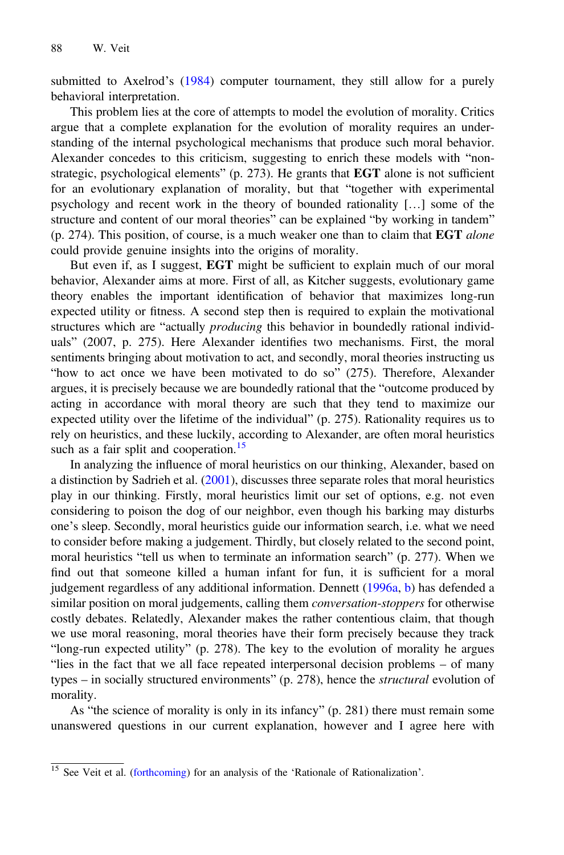submitted to Axelrod's ([1984\)](#page-16-0) computer tournament, they still allow for a purely behavioral interpretation.

This problem lies at the core of attempts to model the evolution of morality. Critics argue that a complete explanation for the evolution of morality requires an understanding of the internal psychological mechanisms that produce such moral behavior. Alexander concedes to this criticism, suggesting to enrich these models with "nonstrategic, psychological elements" (p. 273). He grants that **EGT** alone is not sufficient for an evolutionary explanation of morality, but that "together with experimental psychology and recent work in the theory of bounded rationality […] some of the structure and content of our moral theories" can be explained "by working in tandem"  $(p. 274)$ . This position, of course, is a much weaker one than to claim that **EGT** alone could provide genuine insights into the origins of morality.

But even if, as I suggest, EGT might be sufficient to explain much of our moral behavior, Alexander aims at more. First of all, as Kitcher suggests, evolutionary game theory enables the important identification of behavior that maximizes long-run expected utility or fitness. A second step then is required to explain the motivational structures which are "actually *producing* this behavior in boundedly rational individuals" (2007, p. 275). Here Alexander identifies two mechanisms. First, the moral sentiments bringing about motivation to act, and secondly, moral theories instructing us "how to act once we have been motivated to do so" (275). Therefore, Alexander argues, it is precisely because we are boundedly rational that the "outcome produced by acting in accordance with moral theory are such that they tend to maximize our expected utility over the lifetime of the individual" (p. 275). Rationality requires us to rely on heuristics, and these luckily, according to Alexander, are often moral heuristics such as a fair split and cooperation. $15$ 

In analyzing the influence of moral heuristics on our thinking, Alexander, based on a distinction by Sadrieh et al. ([2001\)](#page-18-0), discusses three separate roles that moral heuristics play in our thinking. Firstly, moral heuristics limit our set of options, e.g. not even considering to poison the dog of our neighbor, even though his barking may disturbs one's sleep. Secondly, moral heuristics guide our information search, i.e. what we need to consider before making a judgement. Thirdly, but closely related to the second point, moral heuristics "tell us when to terminate an information search" (p. 277). When we find out that someone killed a human infant for fun, it is sufficient for a moral judgement regardless of any additional information. Dennett ([1996a](#page-17-0), [b](#page-17-0)) has defended a similar position on moral judgements, calling them *conversation-stoppers* for otherwise costly debates. Relatedly, Alexander makes the rather contentious claim, that though we use moral reasoning, moral theories have their form precisely because they track "long-run expected utility" (p. 278). The key to the evolution of morality he argues "lies in the fact that we all face repeated interpersonal decision problems – of many types – in socially structured environments" (p. 278), hence the *structural* evolution of morality.

As "the science of morality is only in its infancy" (p. 281) there must remain some unanswered questions in our current explanation, however and I agree here with

<sup>&</sup>lt;sup>15</sup> See Veit et al. [\(forthcoming](#page-19-0)) for an analysis of the 'Rationale of Rationalization'.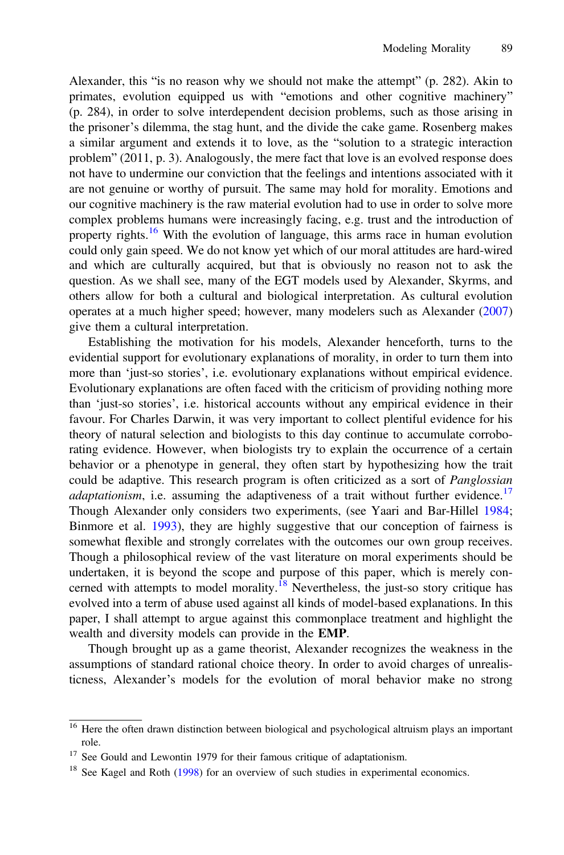Alexander, this "is no reason why we should not make the attempt" (p. 282). Akin to primates, evolution equipped us with "emotions and other cognitive machinery" (p. 284), in order to solve interdependent decision problems, such as those arising in the prisoner's dilemma, the stag hunt, and the divide the cake game. Rosenberg makes a similar argument and extends it to love, as the "solution to a strategic interaction problem" (2011, p. 3). Analogously, the mere fact that love is an evolved response does not have to undermine our conviction that the feelings and intentions associated with it are not genuine or worthy of pursuit. The same may hold for morality. Emotions and our cognitive machinery is the raw material evolution had to use in order to solve more complex problems humans were increasingly facing, e.g. trust and the introduction of property rights.<sup>16</sup> With the evolution of language, this arms race in human evolution could only gain speed. We do not know yet which of our moral attitudes are hard-wired and which are culturally acquired, but that is obviously no reason not to ask the question. As we shall see, many of the EGT models used by Alexander, Skyrms, and others allow for both a cultural and biological interpretation. As cultural evolution operates at a much higher speed; however, many modelers such as Alexander [\(2007](#page-16-0)) give them a cultural interpretation.

Establishing the motivation for his models, Alexander henceforth, turns to the evidential support for evolutionary explanations of morality, in order to turn them into more than 'just-so stories', i.e. evolutionary explanations without empirical evidence. Evolutionary explanations are often faced with the criticism of providing nothing more than 'just-so stories', i.e. historical accounts without any empirical evidence in their favour. For Charles Darwin, it was very important to collect plentiful evidence for his theory of natural selection and biologists to this day continue to accumulate corroborating evidence. However, when biologists try to explain the occurrence of a certain behavior or a phenotype in general, they often start by hypothesizing how the trait could be adaptive. This research program is often criticized as a sort of *Panglossian adaptationism*, i.e. assuming the adaptiveness of a trait without further evidence.<sup>17</sup> Though Alexander only considers two experiments, (see Yaari and Bar-Hillel [1984;](#page-19-0) Binmore et al. [1993](#page-16-0)), they are highly suggestive that our conception of fairness is somewhat flexible and strongly correlates with the outcomes our own group receives. Though a philosophical review of the vast literature on moral experiments should be undertaken, it is beyond the scope and purpose of this paper, which is merely concerned with attempts to model morality.<sup>18</sup> Nevertheless, the just-so story critique has evolved into a term of abuse used against all kinds of model-based explanations. In this paper, I shall attempt to argue against this commonplace treatment and highlight the wealth and diversity models can provide in the EMP.

Though brought up as a game theorist, Alexander recognizes the weakness in the assumptions of standard rational choice theory. In order to avoid charges of unrealisticness, Alexander's models for the evolution of moral behavior make no strong

<sup>&</sup>lt;sup>16</sup> Here the often drawn distinction between biological and psychological altruism plays an important role.

<sup>&</sup>lt;sup>17</sup> See Gould and Lewontin 1979 for their famous critique of adaptationism.

<sup>&</sup>lt;sup>18</sup> See Kagel and Roth [\(1998](#page-18-0)) for an overview of such studies in experimental economics.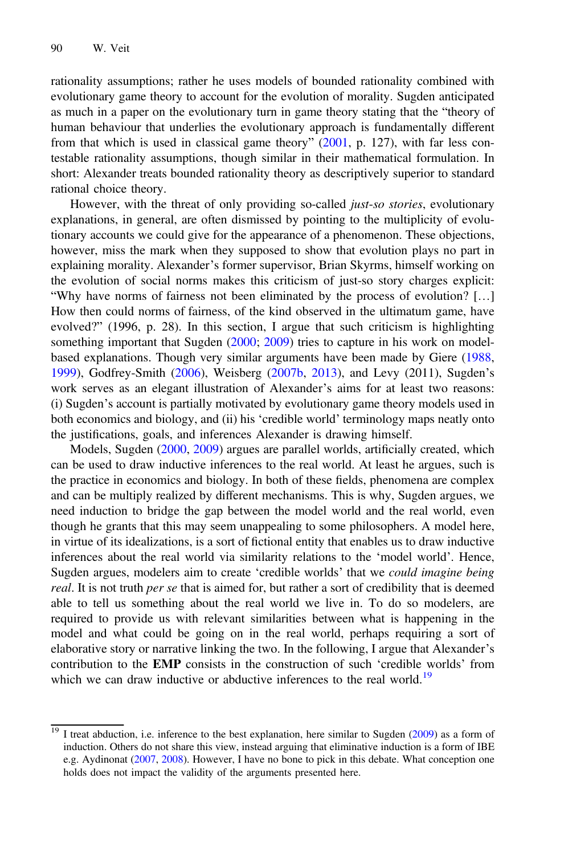rationality assumptions; rather he uses models of bounded rationality combined with evolutionary game theory to account for the evolution of morality. Sugden anticipated as much in a paper on the evolutionary turn in game theory stating that the "theory of human behaviour that underlies the evolutionary approach is fundamentally different from that which is used in classical game theory" ([2001,](#page-18-0) p. 127), with far less contestable rationality assumptions, though similar in their mathematical formulation. In short: Alexander treats bounded rationality theory as descriptively superior to standard rational choice theory.

However, with the threat of only providing so-called *just-so stories*, evolutionary explanations, in general, are often dismissed by pointing to the multiplicity of evolutionary accounts we could give for the appearance of a phenomenon. These objections, however, miss the mark when they supposed to show that evolution plays no part in explaining morality. Alexander's former supervisor, Brian Skyrms, himself working on the evolution of social norms makes this criticism of just-so story charges explicit: "Why have norms of fairness not been eliminated by the process of evolution? […] How then could norms of fairness, of the kind observed in the ultimatum game, have evolved?" (1996, p. 28). In this section, I argue that such criticism is highlighting something important that Sugden ([2000;](#page-19-0) [2009\)](#page-18-0) tries to capture in his work on modelbased explanations. Though very similar arguments have been made by Giere [\(1988](#page-17-0), [1999\)](#page-17-0), Godfrey-Smith ([2006](#page-17-0)), Weisberg [\(2007b](#page-19-0), [2013\)](#page-19-0), and Levy (2011), Sugden's work serves as an elegant illustration of Alexander's aims for at least two reasons: (i) Sugden's account is partially motivated by evolutionary game theory models used in both economics and biology, and (ii) his 'credible world' terminology maps neatly onto the justifications, goals, and inferences Alexander is drawing himself.

Models, Sugden ([2000](#page-19-0), [2009\)](#page-18-0) argues are parallel worlds, artificially created, which can be used to draw inductive inferences to the real world. At least he argues, such is the practice in economics and biology. In both of these fields, phenomena are complex and can be multiply realized by different mechanisms. This is why, Sugden argues, we need induction to bridge the gap between the model world and the real world, even though he grants that this may seem unappealing to some philosophers. A model here, in virtue of its idealizations, is a sort of fictional entity that enables us to draw inductive inferences about the real world via similarity relations to the 'model world'. Hence, Sugden argues, modelers aim to create 'credible worlds' that we could imagine being real. It is not truth per se that is aimed for, but rather a sort of credibility that is deemed able to tell us something about the real world we live in. To do so modelers, are required to provide us with relevant similarities between what is happening in the model and what could be going on in the real world, perhaps requiring a sort of elaborative story or narrative linking the two. In the following, I argue that Alexander's contribution to the EMP consists in the construction of such 'credible worlds' from which we can draw inductive or abductive inferences to the real world.<sup>19</sup>

<sup>&</sup>lt;sup>19</sup> I treat abduction, i.e. inference to the best explanation, here similar to Sugden [\(2009](#page-18-0)) as a form of induction. Others do not share this view, instead arguing that eliminative induction is a form of IBE e.g. Aydinonat ([2007,](#page-16-0) [2008\)](#page-16-0). However, I have no bone to pick in this debate. What conception one holds does not impact the validity of the arguments presented here.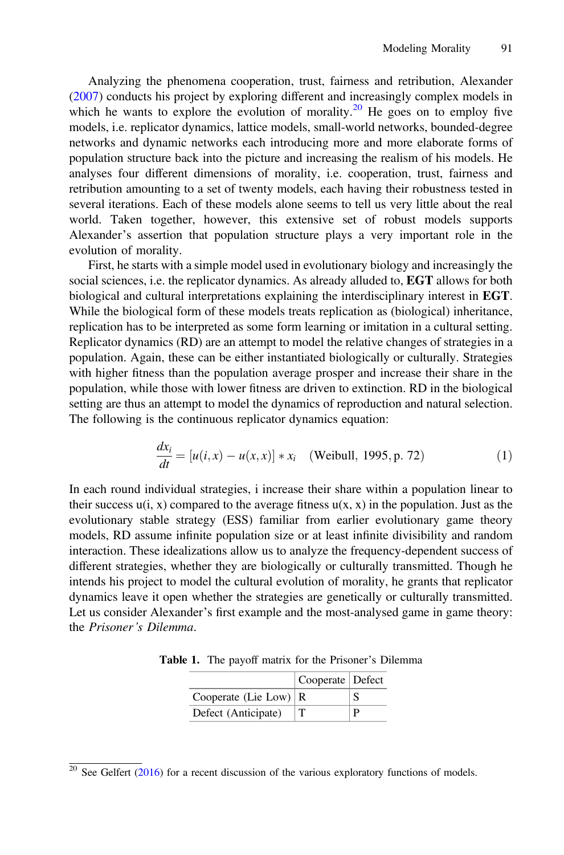<span id="page-8-0"></span>Analyzing the phenomena cooperation, trust, fairness and retribution, Alexander [\(2007](#page-16-0)) conducts his project by exploring different and increasingly complex models in which he wants to explore the evolution of morality.<sup>20</sup> He goes on to employ five models, i.e. replicator dynamics, lattice models, small-world networks, bounded-degree networks and dynamic networks each introducing more and more elaborate forms of population structure back into the picture and increasing the realism of his models. He analyses four different dimensions of morality, i.e. cooperation, trust, fairness and retribution amounting to a set of twenty models, each having their robustness tested in several iterations. Each of these models alone seems to tell us very little about the real world. Taken together, however, this extensive set of robust models supports Alexander's assertion that population structure plays a very important role in the evolution of morality.

First, he starts with a simple model used in evolutionary biology and increasingly the social sciences, i.e. the replicator dynamics. As already alluded to, EGT allows for both biological and cultural interpretations explaining the interdisciplinary interest in EGT. While the biological form of these models treats replication as (biological) inheritance, replication has to be interpreted as some form learning or imitation in a cultural setting. Replicator dynamics (RD) are an attempt to model the relative changes of strategies in a population. Again, these can be either instantiated biologically or culturally. Strategies with higher fitness than the population average prosper and increase their share in the population, while those with lower fitness are driven to extinction. RD in the biological setting are thus an attempt to model the dynamics of reproduction and natural selection. The following is the continuous replicator dynamics equation:

$$
\frac{dx_i}{dt} = [u(i, x) - u(x, x)] * x_i \quad \text{(Weibull, 1995, p. 72)} \tag{1}
$$

In each round individual strategies, i increase their share within a population linear to their success  $u(i, x)$  compared to the average fitness  $u(x, x)$  in the population. Just as the evolutionary stable strategy (ESS) familiar from earlier evolutionary game theory models, RD assume infinite population size or at least infinite divisibility and random interaction. These idealizations allow us to analyze the frequency-dependent success of different strategies, whether they are biologically or culturally transmitted. Though he intends his project to model the cultural evolution of morality, he grants that replicator dynamics leave it open whether the strategies are genetically or culturally transmitted. Let us consider Alexander's first example and the most-analysed game in game theory: the Prisoner's Dilemma.

|                                     | Cooperate Defect |   |
|-------------------------------------|------------------|---|
| Cooperate (Lie Low) $\vert R \vert$ |                  |   |
| Defect (Anticipate)                 |                  | P |

Table 1. The payoff matrix for the Prisoner's Dilemma

 $\frac{20}{20}$  See Gelfert ([2016\)](#page-17-0) for a recent discussion of the various exploratory functions of models.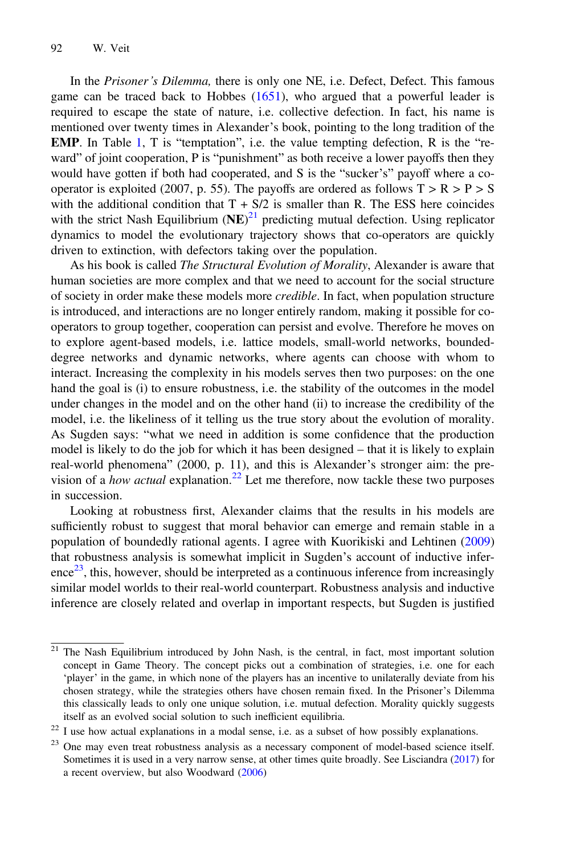In the *Prisoner's Dilemma*, there is only one NE, i.e. Defect, Defect. This famous game can be traced back to Hobbes [\(1651](#page-17-0)), who argued that a powerful leader is required to escape the state of nature, i.e. collective defection. In fact, his name is mentioned over twenty times in Alexander's book, pointing to the long tradition of the EMP. In Table [1,](#page-8-0) T is "temptation", i.e. the value tempting defection, R is the "reward" of joint cooperation, P is "punishment" as both receive a lower payoffs then they would have gotten if both had cooperated, and S is the "sucker's" payoff where a cooperator is exploited (2007, p. 55). The payoffs are ordered as follows  $T > R > P > S$ with the additional condition that  $T + S/2$  is smaller than R. The ESS here coincides with the strict Nash Equilibrium  $(NE)^{21}$  predicting mutual defection. Using replicator dynamics to model the evolutionary trajectory shows that co-operators are quickly driven to extinction, with defectors taking over the population.

As his book is called The Structural Evolution of Morality, Alexander is aware that human societies are more complex and that we need to account for the social structure of society in order make these models more credible. In fact, when population structure is introduced, and interactions are no longer entirely random, making it possible for cooperators to group together, cooperation can persist and evolve. Therefore he moves on to explore agent-based models, i.e. lattice models, small-world networks, boundeddegree networks and dynamic networks, where agents can choose with whom to interact. Increasing the complexity in his models serves then two purposes: on the one hand the goal is (i) to ensure robustness, i.e. the stability of the outcomes in the model under changes in the model and on the other hand (ii) to increase the credibility of the model, i.e. the likeliness of it telling us the true story about the evolution of morality. As Sugden says: "what we need in addition is some confidence that the production model is likely to do the job for which it has been designed – that it is likely to explain real-world phenomena" (2000, p. 11), and this is Alexander's stronger aim: the prevision of a *how actual* explanation.<sup>22</sup> Let me therefore, now tackle these two purposes in succession.

Looking at robustness first, Alexander claims that the results in his models are sufficiently robust to suggest that moral behavior can emerge and remain stable in a population of boundedly rational agents. I agree with Kuorikiski and Lehtinen [\(2009](#page-18-0)) that robustness analysis is somewhat implicit in Sugden's account of inductive infer- $\text{ence}^{23}$ , this, however, should be interpreted as a continuous inference from increasingly similar model worlds to their real-world counterpart. Robustness analysis and inductive inference are closely related and overlap in important respects, but Sugden is justified

 $\overline{21}$  The Nash Equilibrium introduced by John Nash, is the central, in fact, most important solution concept in Game Theory. The concept picks out a combination of strategies, i.e. one for each 'player' in the game, in which none of the players has an incentive to unilaterally deviate from his chosen strategy, while the strategies others have chosen remain fixed. In the Prisoner's Dilemma this classically leads to only one unique solution, i.e. mutual defection. Morality quickly suggests itself as an evolved social solution to such inefficient equilibria.

 $22$  I use how actual explanations in a modal sense, i.e. as a subset of how possibly explanations.

<sup>&</sup>lt;sup>23</sup> One may even treat robustness analysis as a necessary component of model-based science itself. Sometimes it is used in a very narrow sense, at other times quite broadly. See Lisciandra ([2017\)](#page-18-0) for a recent overview, but also Woodward [\(2006](#page-19-0))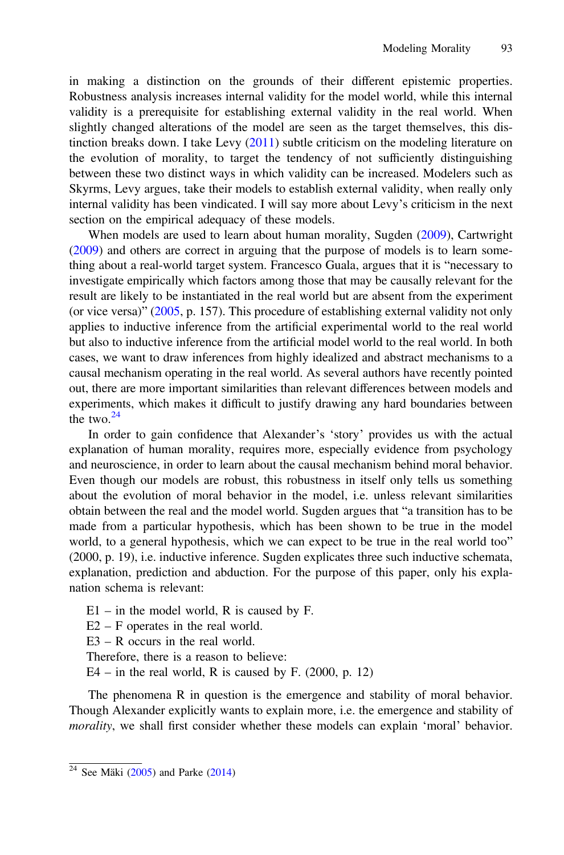in making a distinction on the grounds of their different epistemic properties. Robustness analysis increases internal validity for the model world, while this internal validity is a prerequisite for establishing external validity in the real world. When slightly changed alterations of the model are seen as the target themselves, this distinction breaks down. I take Levy  $(2011)$  $(2011)$  subtle criticism on the modeling literature on the evolution of morality, to target the tendency of not sufficiently distinguishing between these two distinct ways in which validity can be increased. Modelers such as Skyrms, Levy argues, take their models to establish external validity, when really only internal validity has been vindicated. I will say more about Levy's criticism in the next section on the empirical adequacy of these models.

When models are used to learn about human morality, Sugden [\(2009](#page-18-0)), Cartwright [\(2009](#page-17-0)) and others are correct in arguing that the purpose of models is to learn something about a real-world target system. Francesco Guala, argues that it is "necessary to investigate empirically which factors among those that may be causally relevant for the result are likely to be instantiated in the real world but are absent from the experiment (or vice versa)" [\(2005](#page-17-0), p. 157). This procedure of establishing external validity not only applies to inductive inference from the artificial experimental world to the real world but also to inductive inference from the artificial model world to the real world. In both cases, we want to draw inferences from highly idealized and abstract mechanisms to a causal mechanism operating in the real world. As several authors have recently pointed out, there are more important similarities than relevant differences between models and experiments, which makes it difficult to justify drawing any hard boundaries between the two. $24$ 

In order to gain confidence that Alexander's 'story' provides us with the actual explanation of human morality, requires more, especially evidence from psychology and neuroscience, in order to learn about the causal mechanism behind moral behavior. Even though our models are robust, this robustness in itself only tells us something about the evolution of moral behavior in the model, i.e. unless relevant similarities obtain between the real and the model world. Sugden argues that "a transition has to be made from a particular hypothesis, which has been shown to be true in the model world, to a general hypothesis, which we can expect to be true in the real world too" (2000, p. 19), i.e. inductive inference. Sugden explicates three such inductive schemata, explanation, prediction and abduction. For the purpose of this paper, only his explanation schema is relevant:

- $E1$  in the model world, R is caused by F.
- E2 F operates in the real world.
- E3 R occurs in the real world.
- Therefore, there is a reason to believe:
- $E4 in$  the real world, R is caused by F. (2000, p. 12)

The phenomena R in question is the emergence and stability of moral behavior. Though Alexander explicitly wants to explain more, i.e. the emergence and stability of morality, we shall first consider whether these models can explain 'moral' behavior.

 $24$  See Mäki ([2005\)](#page-18-0) and Parke ([2014\)](#page-18-0)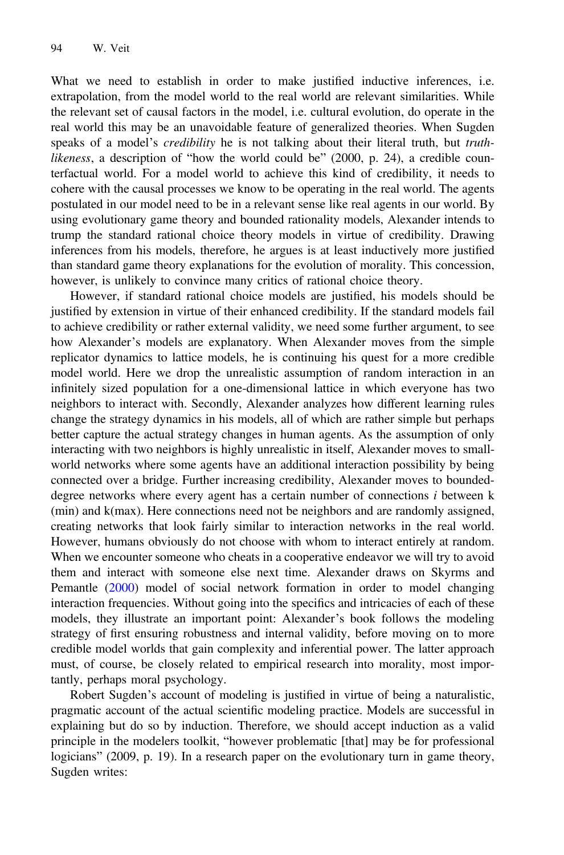What we need to establish in order to make justified inductive inferences, *i.e.* extrapolation, from the model world to the real world are relevant similarities. While the relevant set of causal factors in the model, i.e. cultural evolution, do operate in the real world this may be an unavoidable feature of generalized theories. When Sugden speaks of a model's *credibility* he is not talking about their literal truth, but *truth*likeness, a description of "how the world could be" (2000, p. 24), a credible counterfactual world. For a model world to achieve this kind of credibility, it needs to cohere with the causal processes we know to be operating in the real world. The agents postulated in our model need to be in a relevant sense like real agents in our world. By using evolutionary game theory and bounded rationality models, Alexander intends to trump the standard rational choice theory models in virtue of credibility. Drawing inferences from his models, therefore, he argues is at least inductively more justified than standard game theory explanations for the evolution of morality. This concession, however, is unlikely to convince many critics of rational choice theory.

However, if standard rational choice models are justified, his models should be justified by extension in virtue of their enhanced credibility. If the standard models fail to achieve credibility or rather external validity, we need some further argument, to see how Alexander's models are explanatory. When Alexander moves from the simple replicator dynamics to lattice models, he is continuing his quest for a more credible model world. Here we drop the unrealistic assumption of random interaction in an infinitely sized population for a one-dimensional lattice in which everyone has two neighbors to interact with. Secondly, Alexander analyzes how different learning rules change the strategy dynamics in his models, all of which are rather simple but perhaps better capture the actual strategy changes in human agents. As the assumption of only interacting with two neighbors is highly unrealistic in itself, Alexander moves to smallworld networks where some agents have an additional interaction possibility by being connected over a bridge. Further increasing credibility, Alexander moves to boundeddegree networks where every agent has a certain number of connections i between k (min) and k(max). Here connections need not be neighbors and are randomly assigned, creating networks that look fairly similar to interaction networks in the real world. However, humans obviously do not choose with whom to interact entirely at random. When we encounter someone who cheats in a cooperative endeavor we will try to avoid them and interact with someone else next time. Alexander draws on Skyrms and Pemantle ([2000\)](#page-18-0) model of social network formation in order to model changing interaction frequencies. Without going into the specifics and intricacies of each of these models, they illustrate an important point: Alexander's book follows the modeling strategy of first ensuring robustness and internal validity, before moving on to more credible model worlds that gain complexity and inferential power. The latter approach must, of course, be closely related to empirical research into morality, most importantly, perhaps moral psychology.

Robert Sugden's account of modeling is justified in virtue of being a naturalistic, pragmatic account of the actual scientific modeling practice. Models are successful in explaining but do so by induction. Therefore, we should accept induction as a valid principle in the modelers toolkit, "however problematic [that] may be for professional logicians" (2009, p. 19). In a research paper on the evolutionary turn in game theory, Sugden writes: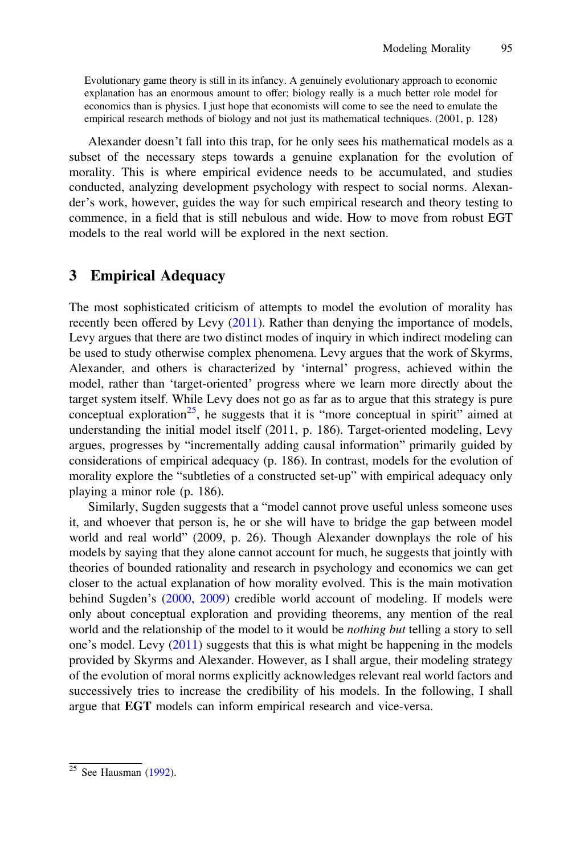<span id="page-12-0"></span>Evolutionary game theory is still in its infancy. A genuinely evolutionary approach to economic explanation has an enormous amount to offer; biology really is a much better role model for economics than is physics. I just hope that economists will come to see the need to emulate the empirical research methods of biology and not just its mathematical techniques. (2001, p. 128)

Alexander doesn't fall into this trap, for he only sees his mathematical models as a subset of the necessary steps towards a genuine explanation for the evolution of morality. This is where empirical evidence needs to be accumulated, and studies conducted, analyzing development psychology with respect to social norms. Alexander's work, however, guides the way for such empirical research and theory testing to commence, in a field that is still nebulous and wide. How to move from robust EGT models to the real world will be explored in the next section.

#### 3 Empirical Adequacy

The most sophisticated criticism of attempts to model the evolution of morality has recently been offered by Levy [\(2011](#page-18-0)). Rather than denying the importance of models, Levy argues that there are two distinct modes of inquiry in which indirect modeling can be used to study otherwise complex phenomena. Levy argues that the work of Skyrms, Alexander, and others is characterized by 'internal' progress, achieved within the model, rather than 'target-oriented' progress where we learn more directly about the target system itself. While Levy does not go as far as to argue that this strategy is pure conceptual exploration<sup>25</sup>, he suggests that it is "more conceptual in spirit" aimed at understanding the initial model itself (2011, p. 186). Target-oriented modeling, Levy argues, progresses by "incrementally adding causal information" primarily guided by considerations of empirical adequacy (p. 186). In contrast, models for the evolution of morality explore the "subtleties of a constructed set-up" with empirical adequacy only playing a minor role (p. 186).

Similarly, Sugden suggests that a "model cannot prove useful unless someone uses it, and whoever that person is, he or she will have to bridge the gap between model world and real world" (2009, p. 26). Though Alexander downplays the role of his models by saying that they alone cannot account for much, he suggests that jointly with theories of bounded rationality and research in psychology and economics we can get closer to the actual explanation of how morality evolved. This is the main motivation behind Sugden's [\(2000](#page-19-0), [2009\)](#page-18-0) credible world account of modeling. If models were only about conceptual exploration and providing theorems, any mention of the real world and the relationship of the model to it would be nothing but telling a story to sell one's model. Levy ([2011\)](#page-18-0) suggests that this is what might be happening in the models provided by Skyrms and Alexander. However, as I shall argue, their modeling strategy of the evolution of moral norms explicitly acknowledges relevant real world factors and successively tries to increase the credibility of his models. In the following, I shall argue that EGT models can inform empirical research and vice-versa.

 $25$  See Hausman ([1992\)](#page-17-0).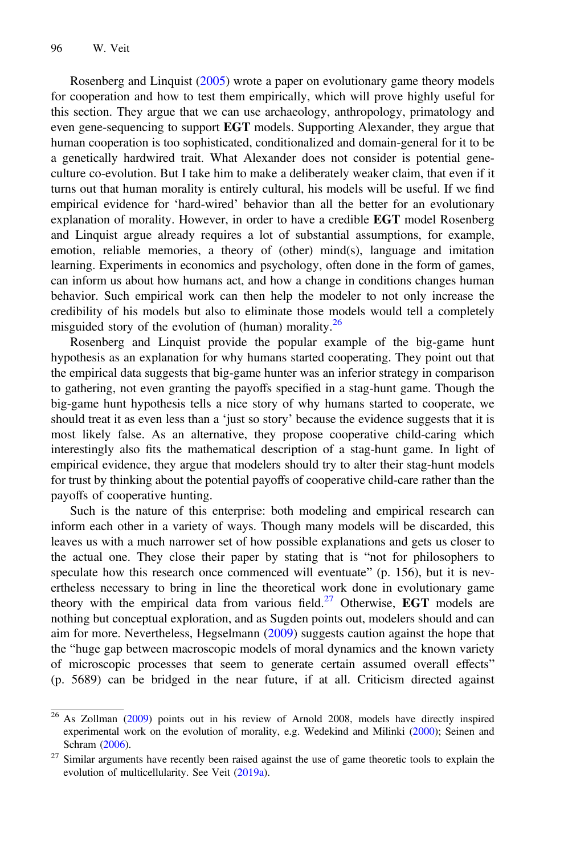Rosenberg and Linquist ([2005\)](#page-18-0) wrote a paper on evolutionary game theory models for cooperation and how to test them empirically, which will prove highly useful for this section. They argue that we can use archaeology, anthropology, primatology and even gene-sequencing to support EGT models. Supporting Alexander, they argue that human cooperation is too sophisticated, conditionalized and domain-general for it to be a genetically hardwired trait. What Alexander does not consider is potential geneculture co-evolution. But I take him to make a deliberately weaker claim, that even if it turns out that human morality is entirely cultural, his models will be useful. If we find empirical evidence for 'hard-wired' behavior than all the better for an evolutionary explanation of morality. However, in order to have a credible EGT model Rosenberg and Linquist argue already requires a lot of substantial assumptions, for example, emotion, reliable memories, a theory of (other) mind(s), language and imitation learning. Experiments in economics and psychology, often done in the form of games, can inform us about how humans act, and how a change in conditions changes human behavior. Such empirical work can then help the modeler to not only increase the credibility of his models but also to eliminate those models would tell a completely misguided story of the evolution of (human) morality.<sup>26</sup>

Rosenberg and Linquist provide the popular example of the big-game hunt hypothesis as an explanation for why humans started cooperating. They point out that the empirical data suggests that big-game hunter was an inferior strategy in comparison to gathering, not even granting the payoffs specified in a stag-hunt game. Though the big-game hunt hypothesis tells a nice story of why humans started to cooperate, we should treat it as even less than a 'just so story' because the evidence suggests that it is most likely false. As an alternative, they propose cooperative child-caring which interestingly also fits the mathematical description of a stag-hunt game. In light of empirical evidence, they argue that modelers should try to alter their stag-hunt models for trust by thinking about the potential payoffs of cooperative child-care rather than the payoffs of cooperative hunting.

Such is the nature of this enterprise: both modeling and empirical research can inform each other in a variety of ways. Though many models will be discarded, this leaves us with a much narrower set of how possible explanations and gets us closer to the actual one. They close their paper by stating that is "not for philosophers to speculate how this research once commenced will eventuate" (p. 156), but it is nevertheless necessary to bring in line the theoretical work done in evolutionary game theory with the empirical data from various field.<sup>27</sup> Otherwise, **EGT** models are nothing but conceptual exploration, and as Sugden points out, modelers should and can aim for more. Nevertheless, Hegselmann ([2009\)](#page-17-0) suggests caution against the hope that the "huge gap between macroscopic models of moral dynamics and the known variety of microscopic processes that seem to generate certain assumed overall effects" (p. 5689) can be bridged in the near future, if at all. Criticism directed against

 $\frac{26}{4}$  As Zollman ([2009\)](#page-19-0) points out in his review of Arnold 2008, models have directly inspired experimental work on the evolution of morality, e.g. Wedekind and Milinki ([2000\)](#page-19-0); Seinen and Schram ([2006\)](#page-18-0).

<sup>&</sup>lt;sup>27</sup> Similar arguments have recently been raised against the use of game theoretic tools to explain the evolution of multicellularity. See Veit ([2019a\)](#page-19-0).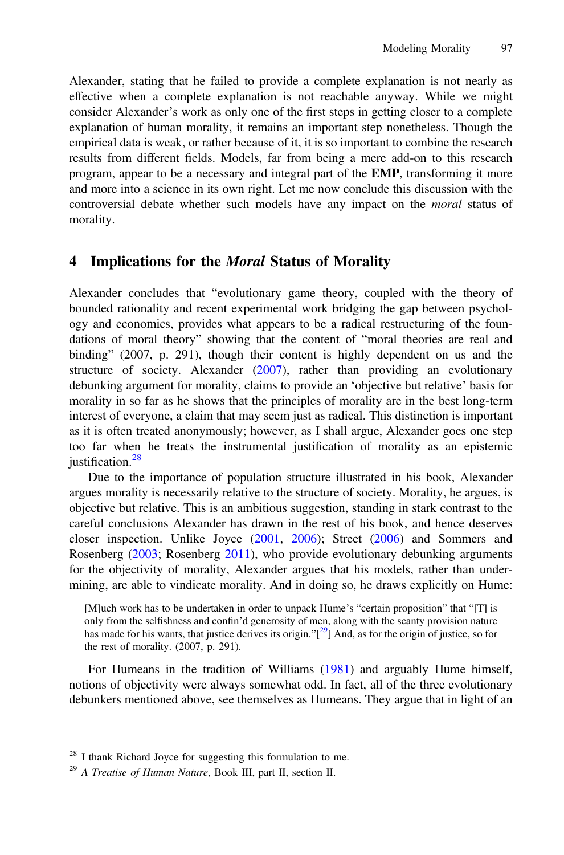<span id="page-14-0"></span>Alexander, stating that he failed to provide a complete explanation is not nearly as effective when a complete explanation is not reachable anyway. While we might consider Alexander's work as only one of the first steps in getting closer to a complete explanation of human morality, it remains an important step nonetheless. Though the empirical data is weak, or rather because of it, it is so important to combine the research results from different fields. Models, far from being a mere add-on to this research program, appear to be a necessary and integral part of the EMP, transforming it more and more into a science in its own right. Let me now conclude this discussion with the controversial debate whether such models have any impact on the moral status of morality.

### 4 Implications for the Moral Status of Morality

Alexander concludes that "evolutionary game theory, coupled with the theory of bounded rationality and recent experimental work bridging the gap between psychology and economics, provides what appears to be a radical restructuring of the foundations of moral theory" showing that the content of "moral theories are real and binding" (2007, p. 291), though their content is highly dependent on us and the structure of society. Alexander  $(2007)$  $(2007)$ , rather than providing an evolutionary debunking argument for morality, claims to provide an 'objective but relative' basis for morality in so far as he shows that the principles of morality are in the best long-term interest of everyone, a claim that may seem just as radical. This distinction is important as it is often treated anonymously; however, as I shall argue, Alexander goes one step too far when he treats the instrumental justification of morality as an epistemic justification.<sup>28</sup>

Due to the importance of population structure illustrated in his book, Alexander argues morality is necessarily relative to the structure of society. Morality, he argues, is objective but relative. This is an ambitious suggestion, standing in stark contrast to the careful conclusions Alexander has drawn in the rest of his book, and hence deserves closer inspection. Unlike Joyce  $(2001, 2006)$  $(2001, 2006)$  $(2001, 2006)$  $(2001, 2006)$ ; Street  $(2006)$  $(2006)$  and Sommers and Rosenberg [\(2003](#page-18-0); Rosenberg [2011](#page-18-0)), who provide evolutionary debunking arguments for the objectivity of morality, Alexander argues that his models, rather than undermining, are able to vindicate morality. And in doing so, he draws explicitly on Hume:

[M]uch work has to be undertaken in order to unpack Hume's "certain proposition" that "[T] is only from the selfishness and confin'd generosity of men, along with the scanty provision nature has made for his wants, that justice derives its origin."[<sup>29</sup>] And, as for the origin of justice, so for the rest of morality. (2007, p. 291).

For Humeans in the tradition of Williams ([1981\)](#page-19-0) and arguably Hume himself, notions of objectivity were always somewhat odd. In fact, all of the three evolutionary debunkers mentioned above, see themselves as Humeans. They argue that in light of an

<sup>&</sup>lt;sup>28</sup> I thank Richard Joyce for suggesting this formulation to me.

 $^{29}$  A Treatise of Human Nature, Book III, part II, section II.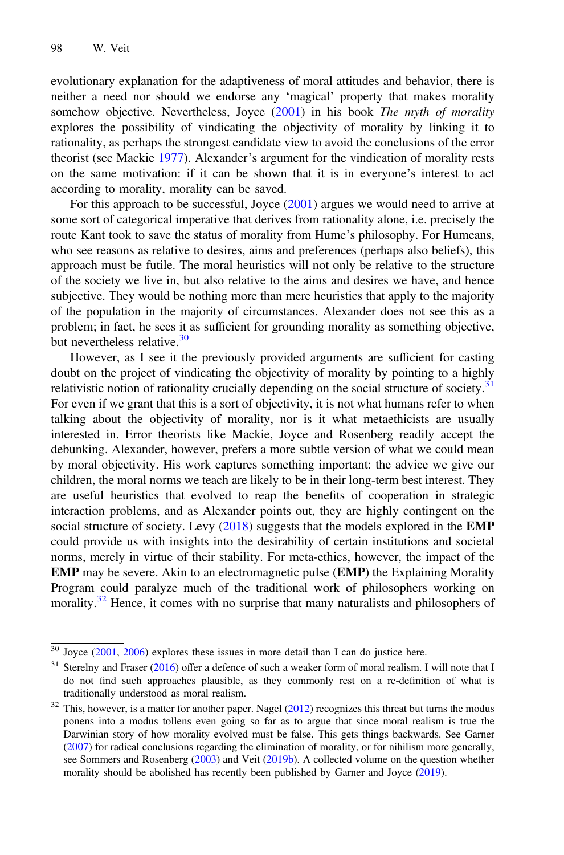evolutionary explanation for the adaptiveness of moral attitudes and behavior, there is neither a need nor should we endorse any 'magical' property that makes morality somehow objective. Nevertheless, Joyce ([2001\)](#page-18-0) in his book The myth of morality explores the possibility of vindicating the objectivity of morality by linking it to rationality, as perhaps the strongest candidate view to avoid the conclusions of the error theorist (see Mackie [1977](#page-18-0)). Alexander's argument for the vindication of morality rests on the same motivation: if it can be shown that it is in everyone's interest to act according to morality, morality can be saved.

For this approach to be successful, Joyce [\(2001](#page-18-0)) argues we would need to arrive at some sort of categorical imperative that derives from rationality alone, i.e. precisely the route Kant took to save the status of morality from Hume's philosophy. For Humeans, who see reasons as relative to desires, aims and preferences (perhaps also beliefs), this approach must be futile. The moral heuristics will not only be relative to the structure of the society we live in, but also relative to the aims and desires we have, and hence subjective. They would be nothing more than mere heuristics that apply to the majority of the population in the majority of circumstances. Alexander does not see this as a problem; in fact, he sees it as sufficient for grounding morality as something objective, but nevertheless relative.<sup>30</sup>

However, as I see it the previously provided arguments are sufficient for casting doubt on the project of vindicating the objectivity of morality by pointing to a highly relativistic notion of rationality crucially depending on the social structure of society.<sup>31</sup> For even if we grant that this is a sort of objectivity, it is not what humans refer to when talking about the objectivity of morality, nor is it what metaethicists are usually interested in. Error theorists like Mackie, Joyce and Rosenberg readily accept the debunking. Alexander, however, prefers a more subtle version of what we could mean by moral objectivity. His work captures something important: the advice we give our children, the moral norms we teach are likely to be in their long-term best interest. They are useful heuristics that evolved to reap the benefits of cooperation in strategic interaction problems, and as Alexander points out, they are highly contingent on the social structure of society. Levy ([2018\)](#page-18-0) suggests that the models explored in the **EMP** could provide us with insights into the desirability of certain institutions and societal norms, merely in virtue of their stability. For meta-ethics, however, the impact of the EMP may be severe. Akin to an electromagnetic pulse (EMP) the Explaining Morality Program could paralyze much of the traditional work of philosophers working on morality.<sup>32</sup> Hence, it comes with no surprise that many naturalists and philosophers of

 $30$  Joyce [\(2001](#page-18-0), [2006\)](#page-18-0) explores these issues in more detail than I can do justice here.

 $31$  Sterelny and Fraser ([2016\)](#page-18-0) offer a defence of such a weaker form of moral realism. I will note that I do not find such approaches plausible, as they commonly rest on a re-definition of what is traditionally understood as moral realism.

 $32$  This, however, is a matter for another paper. Nagel ([2012\)](#page-18-0) recognizes this threat but turns the modus ponens into a modus tollens even going so far as to argue that since moral realism is true the Darwinian story of how morality evolved must be false. This gets things backwards. See Garner [\(2007](#page-17-0)) for radical conclusions regarding the elimination of morality, or for nihilism more generally, see Sommers and Rosenberg ([2003\)](#page-18-0) and Veit ([2019b\)](#page-19-0). A collected volume on the question whether morality should be abolished has recently been published by Garner and Joyce ([2019\)](#page-17-0).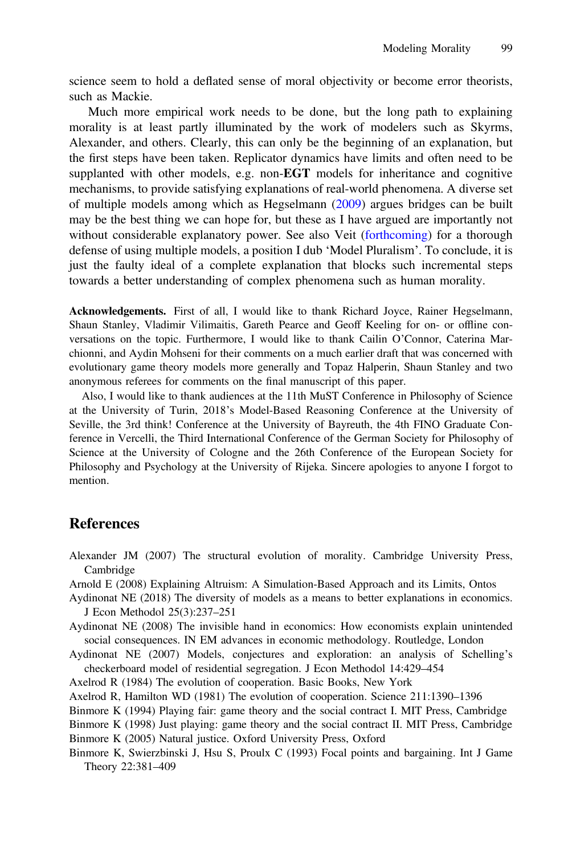<span id="page-16-0"></span>science seem to hold a deflated sense of moral objectivity or become error theorists, such as Mackie.

Much more empirical work needs to be done, but the long path to explaining morality is at least partly illuminated by the work of modelers such as Skyrms, Alexander, and others. Clearly, this can only be the beginning of an explanation, but the first steps have been taken. Replicator dynamics have limits and often need to be supplanted with other models, e.g. non-EGT models for inheritance and cognitive mechanisms, to provide satisfying explanations of real-world phenomena. A diverse set of multiple models among which as Hegselmann ([2009\)](#page-17-0) argues bridges can be built may be the best thing we can hope for, but these as I have argued are importantly not without considerable explanatory power. See also Veit ([forthcoming](#page-19-0)) for a thorough defense of using multiple models, a position I dub 'Model Pluralism'. To conclude, it is just the faulty ideal of a complete explanation that blocks such incremental steps towards a better understanding of complex phenomena such as human morality.

Acknowledgements. First of all, I would like to thank Richard Joyce, Rainer Hegselmann, Shaun Stanley, Vladimir Vilimaitis, Gareth Pearce and Geoff Keeling for on- or offline conversations on the topic. Furthermore, I would like to thank Cailin O'Connor, Caterina Marchionni, and Aydin Mohseni for their comments on a much earlier draft that was concerned with evolutionary game theory models more generally and Topaz Halperin, Shaun Stanley and two anonymous referees for comments on the final manuscript of this paper.

Also, I would like to thank audiences at the 11th MuST Conference in Philosophy of Science at the University of Turin, 2018's Model-Based Reasoning Conference at the University of Seville, the 3rd think! Conference at the University of Bayreuth, the 4th FINO Graduate Conference in Vercelli, the Third International Conference of the German Society for Philosophy of Science at the University of Cologne and the 26th Conference of the European Society for Philosophy and Psychology at the University of Rijeka. Sincere apologies to anyone I forgot to mention.

#### References

- Alexander JM (2007) The structural evolution of morality. Cambridge University Press, Cambridge
- Arnold E (2008) Explaining Altruism: A Simulation-Based Approach and its Limits, Ontos
- Aydinonat NE (2018) The diversity of models as a means to better explanations in economics. J Econ Methodol 25(3):237–251
- Aydinonat NE (2008) The invisible hand in economics: How economists explain unintended social consequences. IN EM advances in economic methodology. Routledge, London
- Aydinonat NE (2007) Models, conjectures and exploration: an analysis of Schelling's checkerboard model of residential segregation. J Econ Methodol 14:429–454
- Axelrod R (1984) The evolution of cooperation. Basic Books, New York
- Axelrod R, Hamilton WD (1981) The evolution of cooperation. Science 211:1390–1396
- Binmore K (1994) Playing fair: game theory and the social contract I. MIT Press, Cambridge
- Binmore K (1998) Just playing: game theory and the social contract II. MIT Press, Cambridge
- Binmore K (2005) Natural justice. Oxford University Press, Oxford
- Binmore K, Swierzbinski J, Hsu S, Proulx C (1993) Focal points and bargaining. Int J Game Theory 22:381–409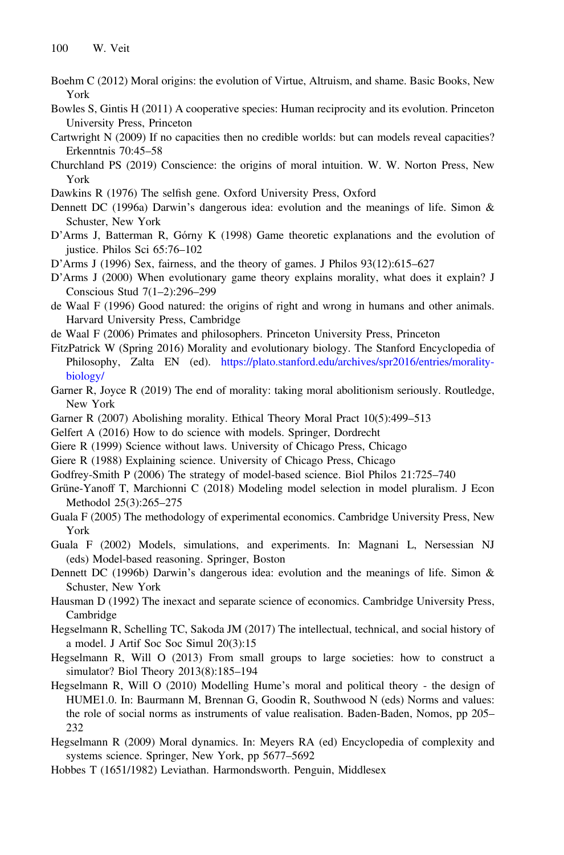- <span id="page-17-0"></span>Boehm C (2012) Moral origins: the evolution of Virtue, Altruism, and shame. Basic Books, New York
- Bowles S, Gintis H (2011) A cooperative species: Human reciprocity and its evolution. Princeton University Press, Princeton
- Cartwright N (2009) If no capacities then no credible worlds: but can models reveal capacities? Erkenntnis 70:45–58
- Churchland PS (2019) Conscience: the origins of moral intuition. W. W. Norton Press, New York
- Dawkins R (1976) The selfish gene. Oxford University Press, Oxford
- Dennett DC (1996a) Darwin's dangerous idea: evolution and the meanings of life. Simon & Schuster, New York
- D'Arms J, Batterman R, Górny K (1998) Game theoretic explanations and the evolution of justice. Philos Sci 65:76–102
- D'Arms J (1996) Sex, fairness, and the theory of games. J Philos 93(12):615–627
- D'Arms J (2000) When evolutionary game theory explains morality, what does it explain? J Conscious Stud 7(1–2):296–299
- de Waal F (1996) Good natured: the origins of right and wrong in humans and other animals. Harvard University Press, Cambridge
- de Waal F (2006) Primates and philosophers. Princeton University Press, Princeton
- FitzPatrick W (Spring 2016) Morality and evolutionary biology. The Stanford Encyclopedia of Philosophy, Zalta EN (ed). [https://plato.stanford.edu/archives/spr2016/entries/morality](https://plato.stanford.edu/archives/spr2016/entries/morality-biology/)[biology/](https://plato.stanford.edu/archives/spr2016/entries/morality-biology/)
- Garner R, Joyce R (2019) The end of morality: taking moral abolitionism seriously. Routledge, New York
- Garner R (2007) Abolishing morality. Ethical Theory Moral Pract 10(5):499–513
- Gelfert A (2016) How to do science with models. Springer, Dordrecht
- Giere R (1999) Science without laws. University of Chicago Press, Chicago
- Giere R (1988) Explaining science. University of Chicago Press, Chicago
- Godfrey-Smith P (2006) The strategy of model-based science. Biol Philos 21:725–740
- Grüne-Yanoff T, Marchionni C (2018) Modeling model selection in model pluralism. J Econ Methodol 25(3):265–275
- Guala F (2005) The methodology of experimental economics. Cambridge University Press, New York
- Guala F (2002) Models, simulations, and experiments. In: Magnani L, Nersessian NJ (eds) Model-based reasoning. Springer, Boston
- Dennett DC (1996b) Darwin's dangerous idea: evolution and the meanings of life. Simon & Schuster, New York
- Hausman D (1992) The inexact and separate science of economics. Cambridge University Press, Cambridge
- Hegselmann R, Schelling TC, Sakoda JM (2017) The intellectual, technical, and social history of a model. J Artif Soc Soc Simul 20(3):15
- Hegselmann R, Will O (2013) From small groups to large societies: how to construct a simulator? Biol Theory 2013(8):185–194
- Hegselmann R, Will O (2010) Modelling Hume's moral and political theory the design of HUME1.0. In: Baurmann M, Brennan G, Goodin R, Southwood N (eds) Norms and values: the role of social norms as instruments of value realisation. Baden-Baden, Nomos, pp 205– 232
- Hegselmann R (2009) Moral dynamics. In: Meyers RA (ed) Encyclopedia of complexity and systems science. Springer, New York, pp 5677–5692
- Hobbes T (1651/1982) Leviathan. Harmondsworth. Penguin, Middlesex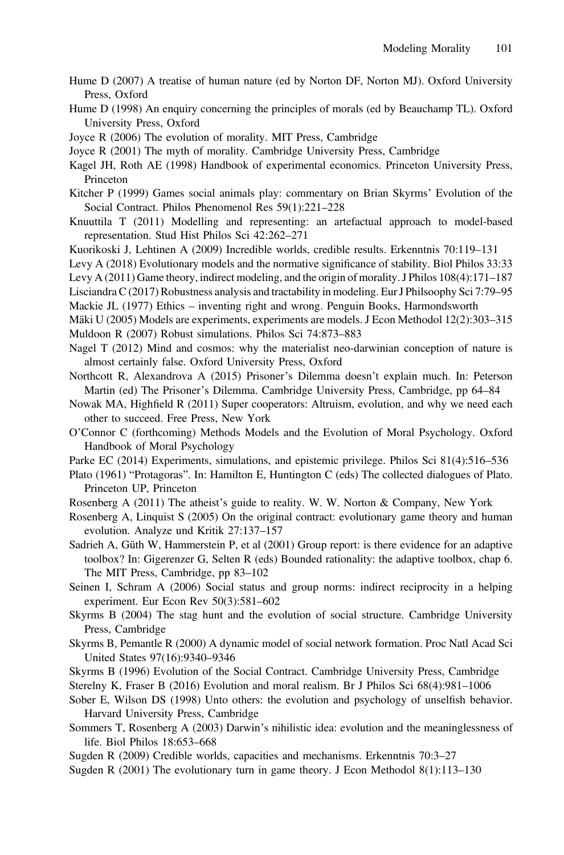- <span id="page-18-0"></span>Hume D (2007) A treatise of human nature (ed by Norton DF, Norton MJ). Oxford University Press, Oxford
- Hume D (1998) An enquiry concerning the principles of morals (ed by Beauchamp TL). Oxford University Press, Oxford
- Joyce R (2006) The evolution of morality. MIT Press, Cambridge
- Joyce R (2001) The myth of morality. Cambridge University Press, Cambridge
- Kagel JH, Roth AE (1998) Handbook of experimental economics. Princeton University Press, Princeton
- Kitcher P (1999) Games social animals play: commentary on Brian Skyrms' Evolution of the Social Contract. Philos Phenomenol Res 59(1):221–228
- Knuuttila T (2011) Modelling and representing: an artefactual approach to model-based representation. Stud Hist Philos Sci 42:262–271
- Kuorikoski J, Lehtinen A (2009) Incredible worlds, credible results. Erkenntnis 70:119–131
- Levy A (2018) Evolutionary models and the normative significance of stability. Biol Philos 33:33
- Levy A (2011) Game theory, indirect modeling, and the origin of morality. J Philos 108(4):171–187
- Lisciandra C (2017) Robustness analysis and tractability in modeling. Eur J Philsoophy Sci 7:79–95
- Mackie JL (1977) Ethics inventing right and wrong. Penguin Books, Harmondsworth
- Mäki U (2005) Models are experiments, experiments are models. J Econ Methodol 12(2):303–315 Muldoon R (2007) Robust simulations. Philos Sci 74:873–883
- Nagel T (2012) Mind and cosmos: why the materialist neo-darwinian conception of nature is almost certainly false. Oxford University Press, Oxford
- Northcott R, Alexandrova A (2015) Prisoner's Dilemma doesn't explain much. In: Peterson Martin (ed) The Prisoner's Dilemma. Cambridge University Press, Cambridge, pp 64–84
- Nowak MA, Highfield R (2011) Super cooperators: Altruism, evolution, and why we need each other to succeed. Free Press, New York
- O'Connor C (forthcoming) Methods Models and the Evolution of Moral Psychology. Oxford Handbook of Moral Psychology
- Parke EC (2014) Experiments, simulations, and epistemic privilege. Philos Sci 81(4):516–536
- Plato (1961) "Protagoras". In: Hamilton E, Huntington C (eds) The collected dialogues of Plato. Princeton UP, Princeton
- Rosenberg A (2011) The atheist's guide to reality. W. W. Norton & Company, New York
- Rosenberg A, Linquist S (2005) On the original contract: evolutionary game theory and human evolution. Analyze und Kritik 27:137–157
- Sadrieh A, Güth W, Hammerstein P, et al (2001) Group report: is there evidence for an adaptive toolbox? In: Gigerenzer G, Selten R (eds) Bounded rationality: the adaptive toolbox, chap 6. The MIT Press, Cambridge, pp 83–102
- Seinen I, Schram A (2006) Social status and group norms: indirect reciprocity in a helping experiment. Eur Econ Rev 50(3):581–602
- Skyrms B (2004) The stag hunt and the evolution of social structure. Cambridge University Press, Cambridge
- Skyrms B, Pemantle R (2000) A dynamic model of social network formation. Proc Natl Acad Sci United States 97(16):9340–9346
- Skyrms B (1996) Evolution of the Social Contract. Cambridge University Press, Cambridge
- Sterelny K, Fraser B (2016) Evolution and moral realism. Br J Philos Sci 68(4):981–1006
- Sober E, Wilson DS (1998) Unto others: the evolution and psychology of unselfish behavior. Harvard University Press, Cambridge
- Sommers T, Rosenberg A (2003) Darwin's nihilistic idea: evolution and the meaninglessness of life. Biol Philos 18:653–668
- Sugden R (2009) Credible worlds, capacities and mechanisms. Erkenntnis 70:3–27
- Sugden R (2001) The evolutionary turn in game theory. J Econ Methodol 8(1):113–130